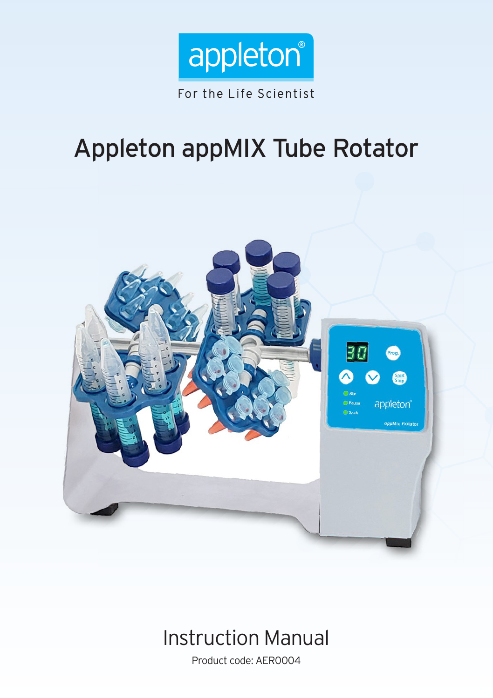

# Appleton appMIX Tube Rotator



## Instruction Manual

Product code: AER0004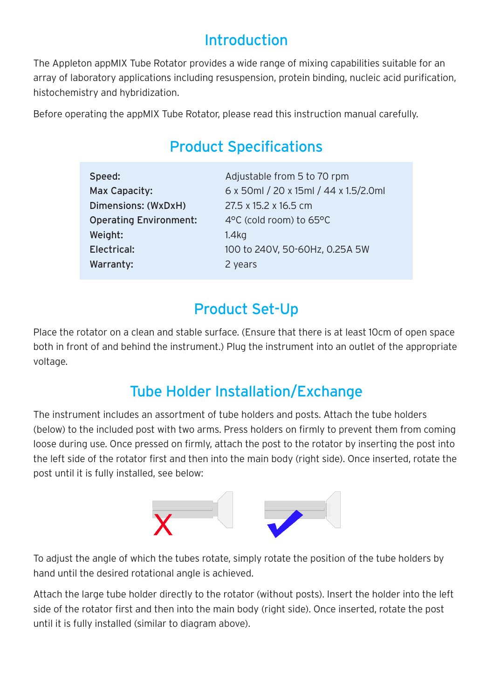### Introduction

The Appleton appMIX Tube Rotator provides a wide range of mixing capabilities suitable for an array of laboratory applications including resuspension, protein binding, nucleic acid purification, histochemistry and hybridization.

Before operating the appMIX Tube Rotator, please read this instruction manual carefully.

### Product Specifications

| Speed:                        | Adjustable from 5 to 70 rpm           |
|-------------------------------|---------------------------------------|
| Max Capacity:                 | 6 x 50ml / 20 x 15ml / 44 x 1.5/2.0ml |
| Dimensions: (WxDxH)           | 27.5 x 15.2 x 16.5 cm                 |
| <b>Operating Environment:</b> | 4°C (cold room) to 65°C               |
| Weight:                       | 1.4 <sub>kq</sub>                     |
| Electrical:                   | 100 to 240V, 50-60Hz, 0.25A 5W        |
| Warranty:                     | 2 years                               |

### Product Set-Up

Place the rotator on a clean and stable surface. (Ensure that there is at least 10cm of open space both in front of and behind the instrument.) Plug the instrument into an outlet of the appropriate voltage.

### Tube Holder Installation/Exchange

The instrument includes an assortment of tube holders and posts. Attach the tube holders (below) to the included post with two arms. Press holders on firmly to prevent them from coming loose during use. Once pressed on firmly, attach the post to the rotator by inserting the post into the left side of the rotator first and then into the main body (right side). Once inserted, rotate the post until it is fully installed, see below:



To adjust the angle of which the tubes rotate, simply rotate the position of the tube holders by hand until the desired rotational angle is achieved.

Attach the large tube holder directly to the rotator (without posts). Insert the holder into the left side of the rotator first and then into the main body (right side). Once inserted, rotate the post until it is fully installed (similar to diagram above).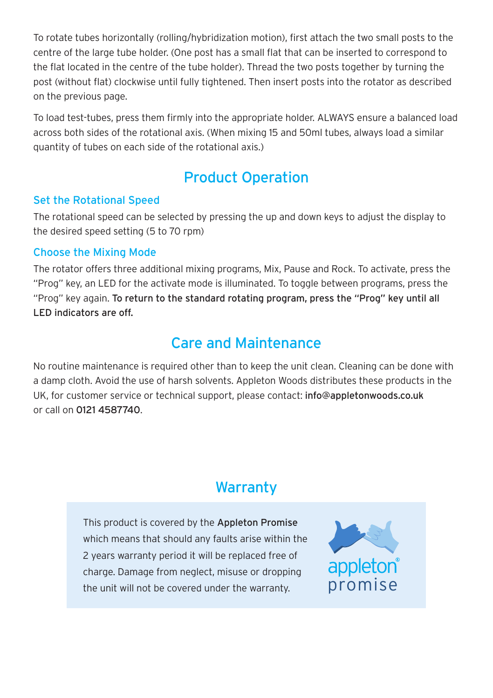To rotate tubes horizontally (rolling/hybridization motion), first attach the two small posts to the centre of the large tube holder. (One post has a small flat that can be inserted to correspond to the flat located in the centre of the tube holder). Thread the two posts together by turning the post (without flat) clockwise until fully tightened. Then insert posts into the rotator as described on the previous page.

To load test-tubes, press them firmly into the appropriate holder. ALWAYS ensure a balanced load across both sides of the rotational axis. (When mixing 15 and 50ml tubes, always load a similar quantity of tubes on each side of the rotational axis.)

### Product Operation

#### Set the Rotational Speed

The rotational speed can be selected by pressing the up and down keys to adjust the display to the desired speed setting (5 to 70 rpm)

#### Choose the Mixing Mode

The rotator offers three additional mixing programs, Mix, Pause and Rock. To activate, press the "Prog" key, an LED for the activate mode is illuminated. To toggle between programs, press the "Prog" key again. To return to the standard rotating program, press the "Prog" key until all LED indicators are off.

### Care and Maintenance

No routine maintenance is required other than to keep the unit clean. Cleaning can be done with a damp cloth. Avoid the use of harsh solvents. Appleton Woods distributes these products in the UK, for customer service or technical support, please contact: info@appletonwoods.co.uk or call on 0121 4587740.

### **Warranty**

This product is covered by the Appleton Promise which means that should any faults arise within the 2 years warranty period it will be replaced free of charge. Damage from neglect, misuse or dropping the unit will not be covered under the warranty.